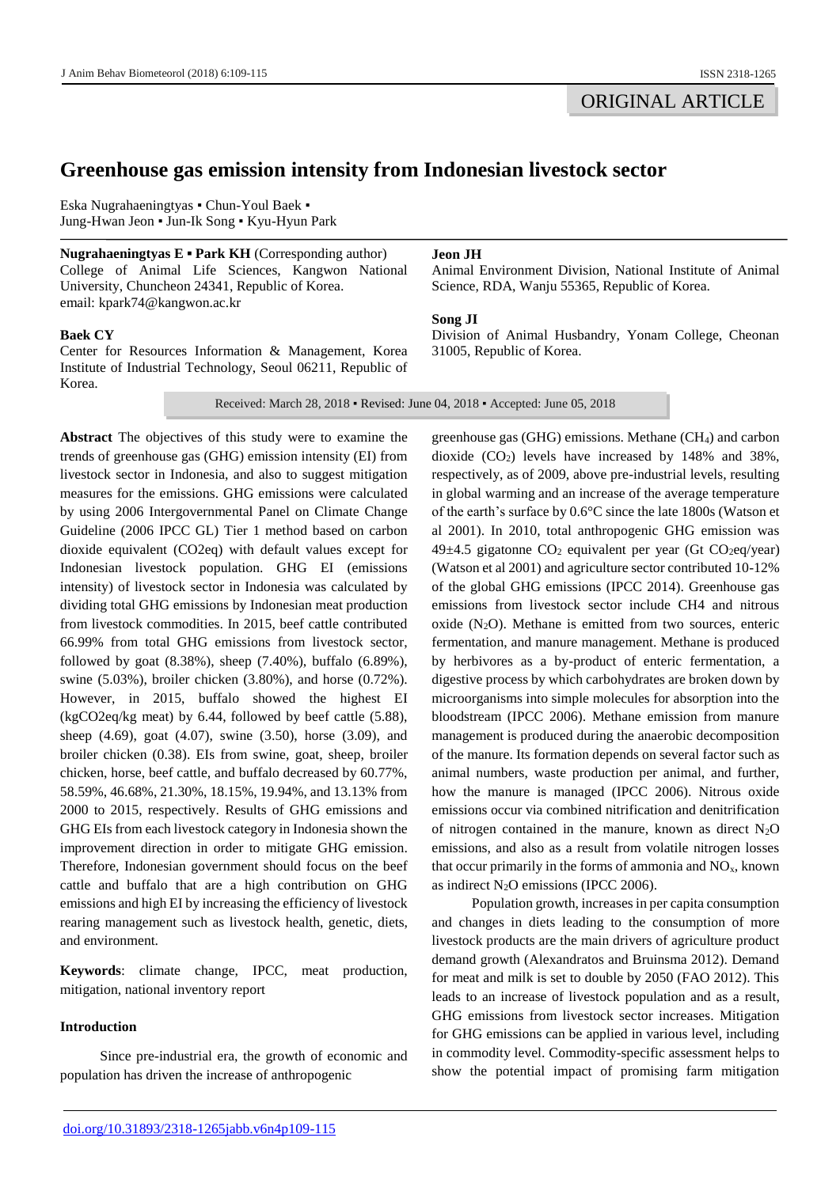# **Greenhouse gas emission intensity from Indonesian livestock sector**

Eska Nugrahaeningtyas ▪ Chun-Youl Baek ▪ Jung-Hwan Jeon ▪ Jun-Ik Song ▪ Kyu-Hyun Park

**Nugrahaeningtyas E ▪ Park KH** (Corresponding author) College of Animal Life Sciences, Kangwon National University, Chuncheon 24341, Republic of Korea. email: [kpark74@kangwon.ac.kr](mailto:kpark74@kangwon.ac.kr)

# **Baek CY**

Center for Resources Information & Management, Korea Institute of Industrial Technology, Seoul 06211, Republic of Korea.

## **Jeon JH**

Animal Environment Division, National Institute of Animal Science, RDA, Wanju 55365, Republic of Korea.

#### **Song JI**

Division of Animal Husbandry, Yonam College, Cheonan 31005, Republic of Korea.

Received: March 28, 2018 ▪ Revised: June 04, 2018 ▪ Accepted: June 05, 2018

**Abstract** The objectives of this study were to examine the trends of greenhouse gas (GHG) emission intensity (EI) from livestock sector in Indonesia, and also to suggest mitigation measures for the emissions. GHG emissions were calculated by using 2006 Intergovernmental Panel on Climate Change Guideline (2006 IPCC GL) Tier 1 method based on carbon dioxide equivalent (CO2eq) with default values except for Indonesian livestock population. GHG EI (emissions intensity) of livestock sector in Indonesia was calculated by dividing total GHG emissions by Indonesian meat production from livestock commodities. In 2015, beef cattle contributed 66.99% from total GHG emissions from livestock sector, followed by goat (8.38%), sheep (7.40%), buffalo (6.89%), swine (5.03%), broiler chicken (3.80%), and horse (0.72%). However, in 2015, buffalo showed the highest EI (kgCO2eq/kg meat) by 6.44, followed by beef cattle (5.88), sheep (4.69), goat (4.07), swine (3.50), horse (3.09), and broiler chicken (0.38). EIs from swine, goat, sheep, broiler chicken, horse, beef cattle, and buffalo decreased by 60.77%, 58.59%, 46.68%, 21.30%, 18.15%, 19.94%, and 13.13% from 2000 to 2015, respectively. Results of GHG emissions and GHG EIs from each livestock category in Indonesia shown the improvement direction in order to mitigate GHG emission. Therefore, Indonesian government should focus on the beef cattle and buffalo that are a high contribution on GHG emissions and high EI by increasing the efficiency of livestock rearing management such as livestock health, genetic, diets, and environment.

**Keywords**: climate change, IPCC, meat production, mitigation, national inventory report

# **Introduction**

Since pre-industrial era, the growth of economic and population has driven the increase of anthropogenic

greenhouse gas (GHG) emissions. Methane (CH4) and carbon dioxide  $(CO<sub>2</sub>)$  levels have increased by 148% and 38%, respectively, as of 2009, above pre-industrial levels, resulting in global warming and an increase of the average temperature of the earth's surface by 0.6°C since the late 1800s (Watson et al 2001). In 2010, total anthropogenic GHG emission was 49 $\pm$ 4.5 gigatonne CO<sub>2</sub> equivalent per year (Gt CO<sub>2</sub> eq/year) (Watson et al 2001) and agriculture sector contributed 10-12% of the global GHG emissions (IPCC 2014). Greenhouse gas emissions from livestock sector include CH4 and nitrous oxide  $(N_2O)$ . Methane is emitted from two sources, enteric fermentation, and manure management. Methane is produced by herbivores as a by-product of enteric fermentation, a digestive process by which carbohydrates are broken down by microorganisms into simple molecules for absorption into the bloodstream (IPCC 2006). Methane emission from manure management is produced during the anaerobic decomposition of the manure. Its formation depends on several factor such as animal numbers, waste production per animal, and further, how the manure is managed (IPCC 2006). Nitrous oxide emissions occur via combined nitrification and denitrification of nitrogen contained in the manure, known as direct  $N_2O$ emissions, and also as a result from volatile nitrogen losses that occur primarily in the forms of ammonia and  $NO<sub>x</sub>$ , known as indirect  $N_2O$  emissions (IPCC 2006).

Population growth, increases in per capita consumption and changes in diets leading to the consumption of more livestock products are the main drivers of agriculture product demand growth (Alexandratos and Bruinsma 2012). Demand for meat and milk is set to double by 2050 (FAO 2012). This leads to an increase of livestock population and as a result, GHG emissions from livestock sector increases. Mitigation for GHG emissions can be applied in various level, including in commodity level. Commodity-specific assessment helps to show the potential impact of promising farm mitigation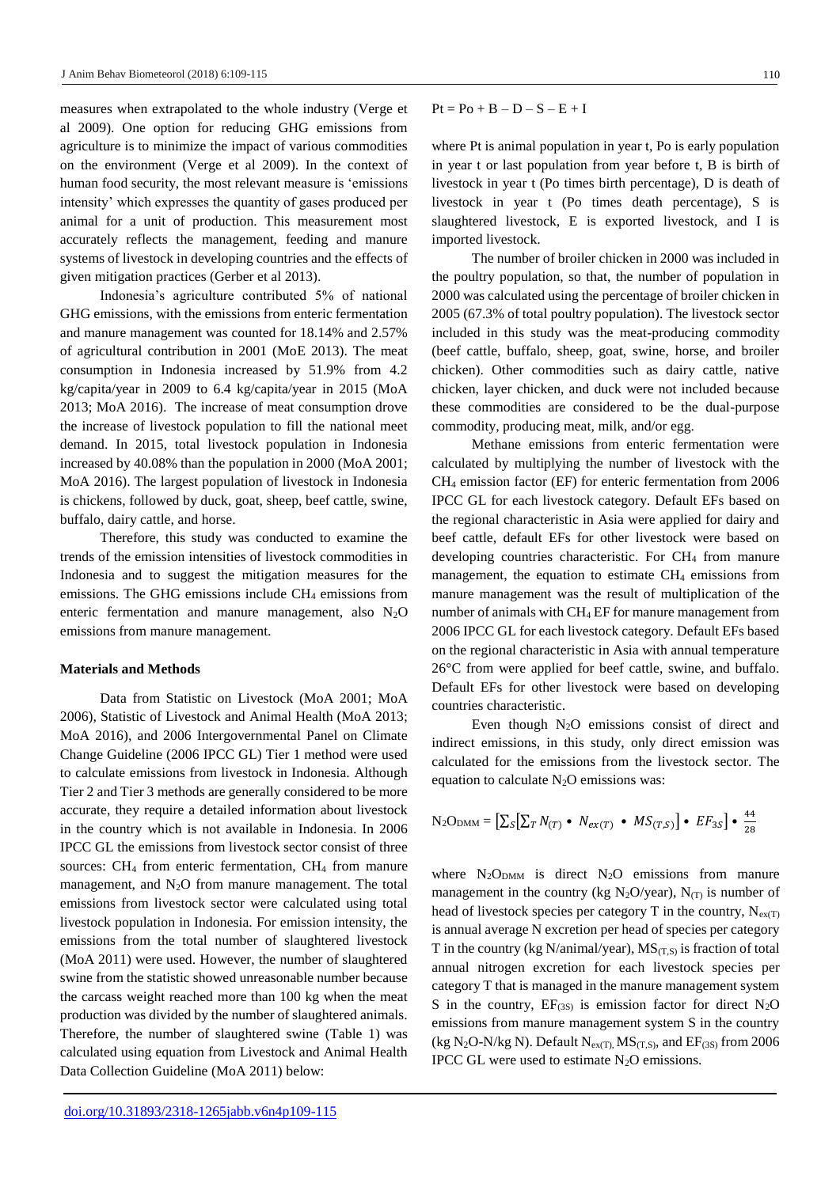measures when extrapolated to the whole industry (Verge et al 2009). One option for reducing GHG emissions from agriculture is to minimize the impact of various commodities on the environment (Verge et al 2009). In the context of human food security, the most relevant measure is 'emissions intensity' which expresses the quantity of gases produced per animal for a unit of production. This measurement most accurately reflects the management, feeding and manure systems of livestock in developing countries and the effects of given mitigation practices (Gerber et al 2013).

Indonesia's agriculture contributed 5% of national GHG emissions, with the emissions from enteric fermentation and manure management was counted for 18.14% and 2.57% of agricultural contribution in 2001 (MoE 2013). The meat consumption in Indonesia increased by 51.9% from 4.2 kg/capita/year in 2009 to 6.4 kg/capita/year in 2015 (MoA 2013; MoA 2016). The increase of meat consumption drove the increase of livestock population to fill the national meet demand. In 2015, total livestock population in Indonesia increased by 40.08% than the population in 2000 (MoA 2001; MoA 2016). The largest population of livestock in Indonesia is chickens, followed by duck, goat, sheep, beef cattle, swine, buffalo, dairy cattle, and horse.

Therefore, this study was conducted to examine the trends of the emission intensities of livestock commodities in Indonesia and to suggest the mitigation measures for the emissions. The GHG emissions include CH<sub>4</sub> emissions from enteric fermentation and manure management, also  $N_2O$ emissions from manure management.

## **Materials and Methods**

Data from Statistic on Livestock (MoA 2001; MoA 2006), Statistic of Livestock and Animal Health (MoA 2013; MoA 2016), and 2006 Intergovernmental Panel on Climate Change Guideline (2006 IPCC GL) Tier 1 method were used to calculate emissions from livestock in Indonesia. Although Tier 2 and Tier 3 methods are generally considered to be more accurate, they require a detailed information about livestock in the country which is not available in Indonesia. In 2006 IPCC GL the emissions from livestock sector consist of three sources: CH<sub>4</sub> from enteric fermentation, CH<sub>4</sub> from manure management, and N2O from manure management. The total emissions from livestock sector were calculated using total livestock population in Indonesia. For emission intensity, the emissions from the total number of slaughtered livestock (MoA 2011) were used. However, the number of slaughtered swine from the statistic showed unreasonable number because the carcass weight reached more than 100 kg when the meat production was divided by the number of slaughtered animals. Therefore, the number of slaughtered swine (Table 1) was calculated using equation from Livestock and Animal Health Data Collection Guideline (MoA 2011) below:

#### $Pt = Po + B - D - S - E + I$

where Pt is animal population in year t, Po is early population in year t or last population from year before t, B is birth of livestock in year t (Po times birth percentage), D is death of livestock in year t (Po times death percentage), S is slaughtered livestock, E is exported livestock, and I is imported livestock.

The number of broiler chicken in 2000 was included in the poultry population, so that, the number of population in 2000 was calculated using the percentage of broiler chicken in 2005 (67.3% of total poultry population). The livestock sector included in this study was the meat-producing commodity (beef cattle, buffalo, sheep, goat, swine, horse, and broiler chicken). Other commodities such as dairy cattle, native chicken, layer chicken, and duck were not included because these commodities are considered to be the dual-purpose commodity, producing meat, milk, and/or egg.

Methane emissions from enteric fermentation were calculated by multiplying the number of livestock with the CH<sup>4</sup> emission factor (EF) for enteric fermentation from 2006 IPCC GL for each livestock category. Default EFs based on the regional characteristic in Asia were applied for dairy and beef cattle, default EFs for other livestock were based on developing countries characteristic. For  $CH<sub>4</sub>$  from manure management, the equation to estimate CH<sup>4</sup> emissions from manure management was the result of multiplication of the number of animals with CH<sup>4</sup> EF for manure management from 2006 IPCC GL for each livestock category. Default EFs based on the regional characteristic in Asia with annual temperature 26°C from were applied for beef cattle, swine, and buffalo. Default EFs for other livestock were based on developing countries characteristic.

Even though N2O emissions consist of direct and indirect emissions, in this study, only direct emission was calculated for the emissions from the livestock sector. The equation to calculate  $N_2O$  emissions was:

$$
N_2O_{\text{DMM}} = \left[\sum_{S} \left[\sum_{T} N_{(T)} \bullet N_{ex(T)} \bullet MS_{(T,S)}\right] \bullet EF_{3S}\right] \bullet \frac{44}{28}
$$

where  $N_2O_{\text{DMM}}$  is direct  $N_2O$  emissions from manure management in the country (kg N<sub>2</sub>O/year), N<sub>(T)</sub> is number of head of livestock species per category T in the country,  $N_{ex(T)}$ is annual average N excretion per head of species per category T in the country (kg N/animal/year),  $MS_{(T,S)}$  is fraction of total annual nitrogen excretion for each livestock species per category T that is managed in the manure management system S in the country,  $EF_{(3S)}$  is emission factor for direct N<sub>2</sub>O emissions from manure management system S in the country (kg N<sub>2</sub>O-N/kg N). Default  $N_{ex(T)}$ , MS<sub>(T,S)</sub>, and EF<sub>(3S)</sub> from 2006 IPCC GL were used to estimate  $N_2O$  emissions.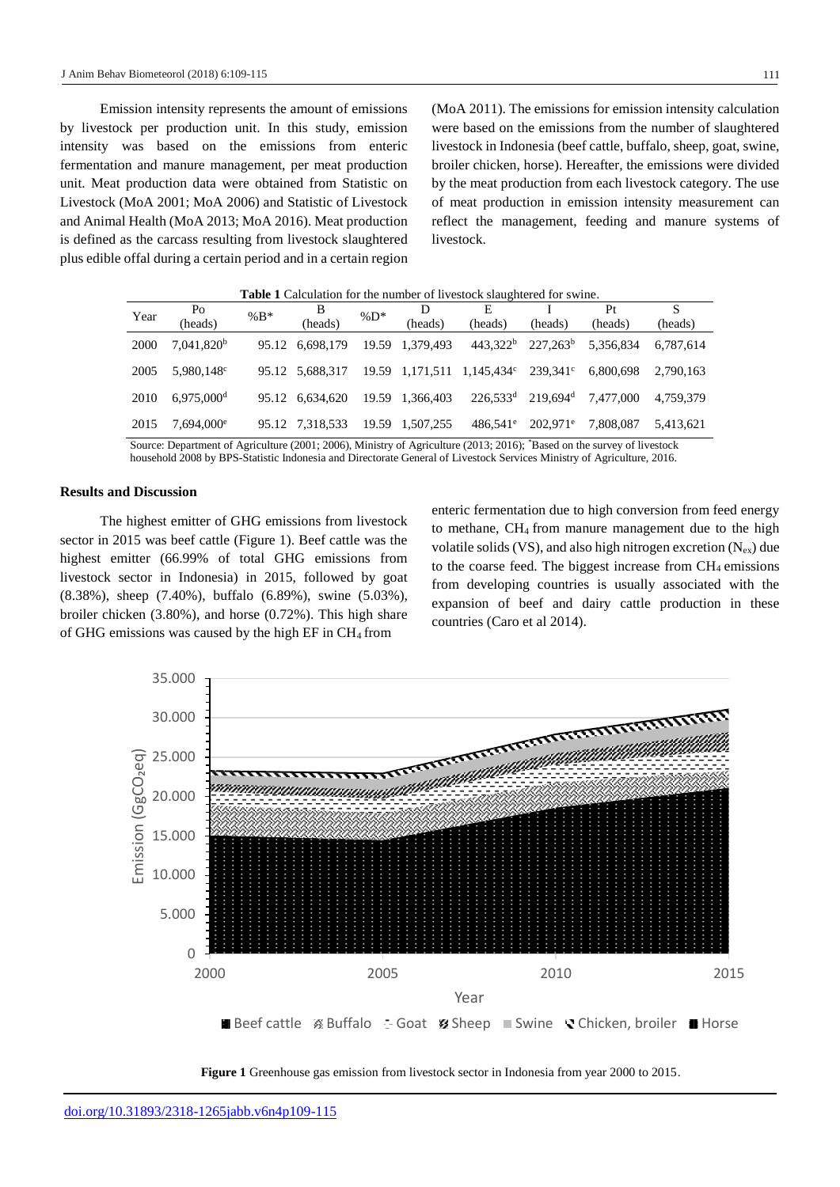Emission intensity represents the amount of emissions by livestock per production unit. In this study, emission intensity was based on the emissions from enteric fermentation and manure management, per meat production unit. Meat production data were obtained from Statistic on Livestock (MoA 2001; MoA 2006) and Statistic of Livestock and Animal Health (MoA 2013; MoA 2016). Meat production is defined as the carcass resulting from livestock slaughtered plus edible offal during a certain period and in a certain region (MoA 2011). The emissions for emission intensity calculation were based on the emissions from the number of slaughtered livestock in Indonesia (beef cattle, buffalo, sheep, goat, swine, broiler chicken, horse). Hereafter, the emissions were divided by the meat production from each livestock category. The use of meat production in emission intensity measurement can reflect the management, feeding and manure systems of livestock.

| <b>Table 1</b> Calculation for the number of livestock slaughtered for swine. |                                                                                                                                                                                                                                |       |                 |         |                 |                                       |                        |                                |              |  |
|-------------------------------------------------------------------------------|--------------------------------------------------------------------------------------------------------------------------------------------------------------------------------------------------------------------------------|-------|-----------------|---------|-----------------|---------------------------------------|------------------------|--------------------------------|--------------|--|
| Year                                                                          | Po<br>(heads)                                                                                                                                                                                                                  | $%B*$ | R<br>(heads)    | % $D^*$ | D<br>(heads)    | Е<br>(heads)                          | (heads)                | Pr<br>(heads)                  | S<br>(heads) |  |
| 2000                                                                          | 7,041,820 <sup>b</sup>                                                                                                                                                                                                         |       | 95.12 6,698,179 |         | 19.59 1.379.493 | 443.322 <sup>b</sup>                  | $227.263^{\rm b}$      | 5,356,834                      | 6.787.614    |  |
| 2005                                                                          | 5.980.148 <sup>c</sup>                                                                                                                                                                                                         |       | 95.12 5.688.317 |         |                 | $19.59$ 1,171,511 1,145,434° 239,341° |                        | 6,800,698                      | 2.790.163    |  |
| 2010                                                                          | $6,975,000$ <sup>d</sup>                                                                                                                                                                                                       |       | 95.12 6.634.620 |         | 19.59 1.366.403 | $226.533$ <sup>d</sup>                |                        | 219.694 <sup>d</sup> 7.477.000 | 4,759,379    |  |
| 2015                                                                          | 7.694.000e                                                                                                                                                                                                                     |       | 95.12 7,318,533 |         | 19.59 1.507.255 | $486.541$ <sup>e</sup>                | $202.971$ <sup>e</sup> | 7.808.087                      | 5,413,621    |  |
|                                                                               | $0.0012, 0.0012, 0.011, 0.011, 0.001, 0.001, 0.011, 0.011, 0.011, 0.012, 0.012, 0.017, 0.017, 0.011, 0.011, 0.011, 0.011, 0.011, 0.011, 0.011, 0.011, 0.011, 0.011, 0.011, 0.011, 0.011, 0.011, 0.011, 0.011, 0.011, 0.011, 0$ |       |                 |         |                 |                                       |                        |                                |              |  |

Source: Department of Agriculture (2001; 2006), Ministry of Agriculture (2013; 2016); \*Based on the survey of livestock household 2008 by BPS-Statistic Indonesia and Directorate General of Livestock Services Ministry of Agriculture, 2016.

# **Results and Discussion**

The highest emitter of GHG emissions from livestock sector in 2015 was beef cattle (Figure 1). Beef cattle was the highest emitter (66.99% of total GHG emissions from livestock sector in Indonesia) in 2015, followed by goat (8.38%), sheep (7.40%), buffalo (6.89%), swine (5.03%), broiler chicken (3.80%), and horse (0.72%). This high share of GHG emissions was caused by the high EF in CH4 from

enteric fermentation due to high conversion from feed energy to methane, CH4 from manure management due to the high volatile solids (VS), and also high nitrogen excretion  $(N_{ex})$  due to the coarse feed. The biggest increase from  $CH_4$  emissions from developing countries is usually associated with the expansion of beef and dairy cattle production in these countries (Caro et al 2014).



 **Figure 1** Greenhouse gas emission from livestock sector in Indonesia from year 2000 to 2015.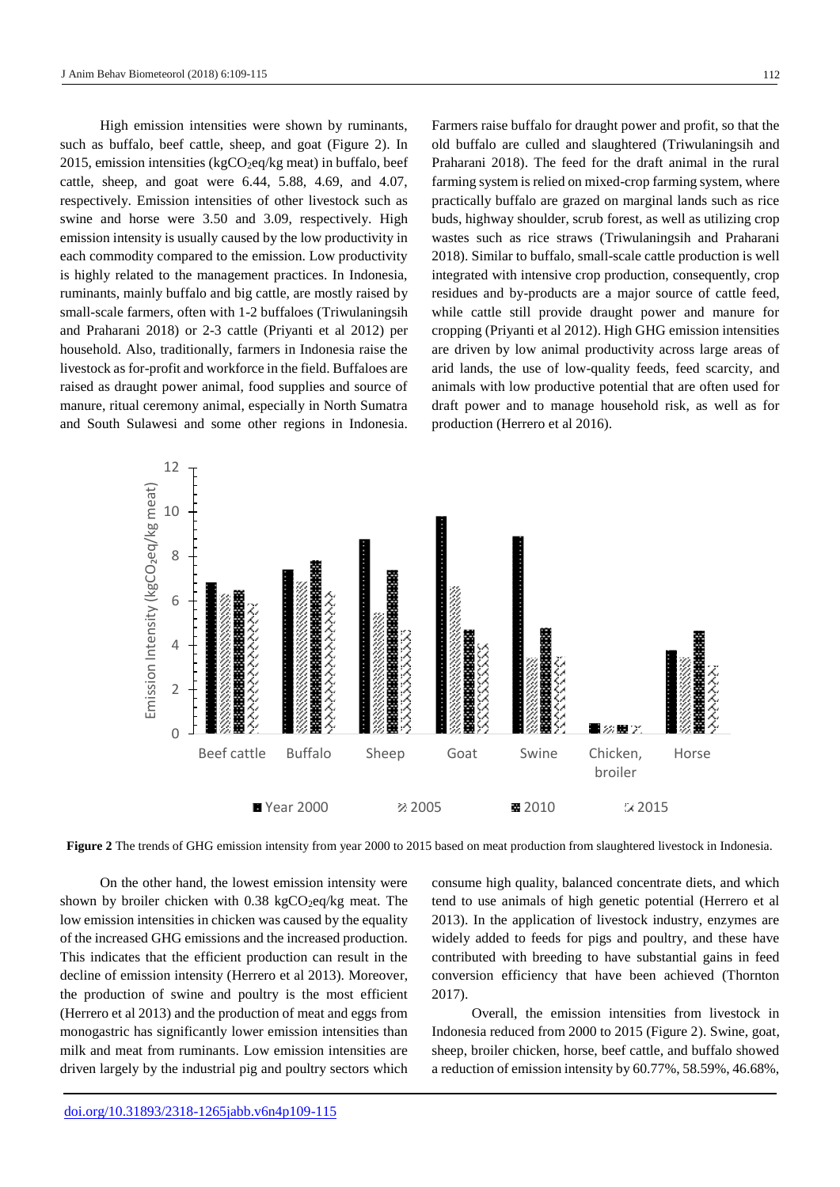High emission intensities were shown by ruminants, such as buffalo, beef cattle, sheep, and goat (Figure 2). In 2015, emission intensities (kgCO<sub>2</sub>eq/kg meat) in buffalo, beef cattle, sheep, and goat were 6.44, 5.88, 4.69, and 4.07, respectively. Emission intensities of other livestock such as swine and horse were 3.50 and 3.09, respectively. High emission intensity is usually caused by the low productivity in each commodity compared to the emission. Low productivity is highly related to the management practices. In Indonesia, ruminants, mainly buffalo and big cattle, are mostly raised by small-scale farmers, often with 1-2 buffaloes (Triwulaningsih and Praharani 2018) or 2-3 cattle (Priyanti et al 2012) per household. Also, traditionally, farmers in Indonesia raise the livestock as for-profit and workforce in the field. Buffaloes are raised as draught power animal, food supplies and source of manure, ritual ceremony animal, especially in North Sumatra and South Sulawesi and some other regions in Indonesia.

Farmers raise buffalo for draught power and profit, so that the old buffalo are culled and slaughtered (Triwulaningsih and Praharani 2018). The feed for the draft animal in the rural farming system is relied on mixed-crop farming system, where practically buffalo are grazed on marginal lands such as rice buds, highway shoulder, scrub forest, as well as utilizing crop wastes such as rice straws (Triwulaningsih and Praharani 2018). Similar to buffalo, small-scale cattle production is well integrated with intensive crop production, consequently, crop residues and by-products are a major source of cattle feed, while cattle still provide draught power and manure for cropping (Priyanti et al 2012). High GHG emission intensities are driven by low animal productivity across large areas of arid lands, the use of low-quality feeds, feed scarcity, and animals with low productive potential that are often used for draft power and to manage household risk, as well as for production (Herrero et al 2016).



**Figure 2** The trends of GHG emission intensity from year 2000 to 2015 based on meat production from slaughtered livestock in Indonesia.

On the other hand, the lowest emission intensity were shown by broiler chicken with  $0.38 \text{ kgCO}_2$ eq/kg meat. The low emission intensities in chicken was caused by the equality of the increased GHG emissions and the increased production. This indicates that the efficient production can result in the decline of emission intensity (Herrero et al 2013). Moreover, the production of swine and poultry is the most efficient (Herrero et al 2013) and the production of meat and eggs from monogastric has significantly lower emission intensities than milk and meat from ruminants. Low emission intensities are driven largely by the industrial pig and poultry sectors which consume high quality, balanced concentrate diets, and which tend to use animals of high genetic potential (Herrero et al 2013). In the application of livestock industry, enzymes are widely added to feeds for pigs and poultry, and these have contributed with breeding to have substantial gains in feed conversion efficiency that have been achieved (Thornton 2017).

Overall, the emission intensities from livestock in Indonesia reduced from 2000 to 2015 (Figure 2). Swine, goat, sheep, broiler chicken, horse, beef cattle, and buffalo showed a reduction of emission intensity by 60.77%, 58.59%, 46.68%,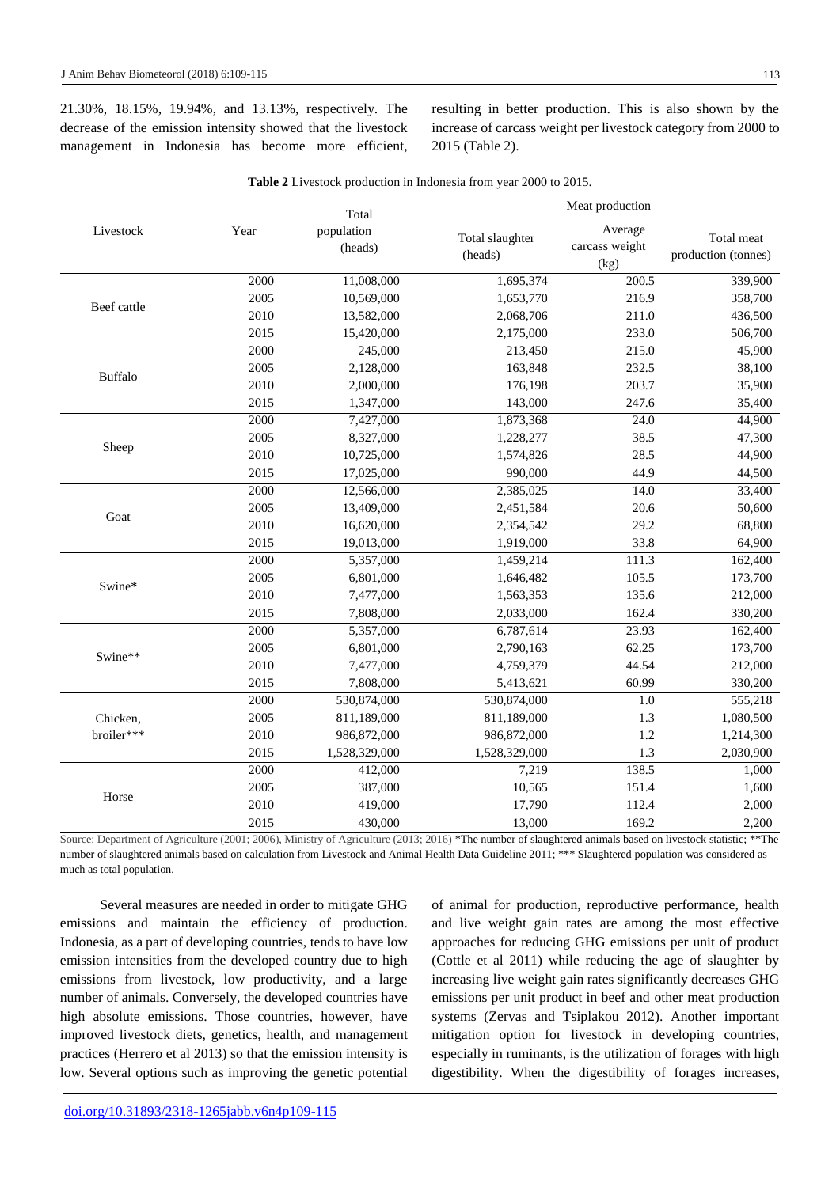21.30%, 18.15%, 19.94%, and 13.13%, respectively. The decrease of the emission intensity showed that the livestock management in Indonesia has become more efficient, resulting in better production. This is also shown by the increase of carcass weight per livestock category from 2000 to 2015 (Table 2).

|                |      | Total                 | Meat production            |                                   |                                   |  |
|----------------|------|-----------------------|----------------------------|-----------------------------------|-----------------------------------|--|
| Livestock      | Year | population<br>(heads) | Total slaughter<br>(heads) | Average<br>carcass weight<br>(kg) | Total meat<br>production (tonnes) |  |
|                | 2000 | 11,008,000            | 1,695,374                  | 200.5                             | 339,900                           |  |
| Beef cattle    | 2005 | 10,569,000            | 1,653,770                  | 216.9                             | 358,700                           |  |
|                | 2010 | 13,582,000            | 2,068,706                  | 211.0                             | 436,500                           |  |
|                | 2015 | 15,420,000            | 2,175,000                  | 233.0                             | 506,700                           |  |
|                | 2000 | 245,000               | 213,450                    | 215.0                             | 45,900                            |  |
| <b>Buffalo</b> | 2005 | 2,128,000             | 163,848                    | 232.5                             | 38,100                            |  |
|                | 2010 | 2,000,000             | 176,198                    | 203.7                             | 35,900                            |  |
|                | 2015 | 1,347,000             | 143,000                    | 247.6                             | 35,400                            |  |
|                | 2000 | 7,427,000             | 1,873,368                  | 24.0                              | 44,900                            |  |
|                | 2005 | 8,327,000             | 1,228,277                  | 38.5                              | 47,300                            |  |
| Sheep          | 2010 | 10,725,000            | 1,574,826                  | 28.5                              | 44,900                            |  |
|                | 2015 | 17,025,000            | 990,000                    | 44.9                              | 44,500                            |  |
|                | 2000 | 12,566,000            | 2,385,025                  | 14.0                              | 33,400                            |  |
|                | 2005 | 13,409,000            | 2,451,584                  | 20.6                              | 50,600                            |  |
| Goat           | 2010 | 16,620,000            | 2,354,542                  | 29.2                              | 68,800                            |  |
|                | 2015 | 19,013,000            | 1,919,000                  | 33.8                              | 64,900                            |  |
|                | 2000 | 5,357,000             | 1,459,214                  | 111.3                             | 162,400                           |  |
|                | 2005 | 6,801,000             | 1,646,482                  | 105.5                             | 173,700                           |  |
| Swine*         | 2010 | 7,477,000             | 1,563,353                  | 135.6                             | 212,000                           |  |
|                | 2015 | 7,808,000             | 2,033,000                  | 162.4                             | 330,200                           |  |
|                | 2000 | 5,357,000             | 6,787,614                  | 23.93                             | 162,400                           |  |
|                | 2005 | 6,801,000             | 2,790,163                  | 62.25                             | 173,700                           |  |
| Swine**        | 2010 | 7,477,000             | 4,759,379                  | 44.54                             | 212,000                           |  |
|                | 2015 | 7,808,000             | 5,413,621                  | 60.99                             | 330,200                           |  |
|                | 2000 | 530,874,000           | 530,874,000                | $\overline{1.0}$                  | 555,218                           |  |
| Chicken,       | 2005 | 811,189,000           | 811,189,000                | 1.3                               | 1,080,500                         |  |
| broiler***     | 2010 | 986,872,000           | 986,872,000                | 1.2                               | 1,214,300                         |  |
|                | 2015 | 1,528,329,000         | 1,528,329,000              | 1.3                               | 2,030,900                         |  |
|                | 2000 | 412,000               | 7,219                      | 138.5                             | 1,000                             |  |
|                | 2005 | 387,000               | 10,565                     | 151.4                             | 1,600                             |  |
| Horse          | 2010 | 419,000               | 17,790                     | 112.4                             | 2,000                             |  |
|                | 2015 | 430,000               | 13,000                     | 169.2                             | 2,200                             |  |

**Table 2** Livestock production in Indonesia from year 2000 to 2015.

Source: Department of Agriculture (2001; 2006), Ministry of Agriculture (2013; 2016) \*The number of slaughtered animals based on livestock statistic; \*\*The number of slaughtered animals based on calculation from Livestock and Animal Health Data Guideline 2011; \*\*\* Slaughtered population was considered as much as total population.

Several measures are needed in order to mitigate GHG emissions and maintain the efficiency of production. Indonesia, as a part of developing countries, tends to have low emission intensities from the developed country due to high emissions from livestock, low productivity, and a large number of animals. Conversely, the developed countries have high absolute emissions. Those countries, however, have improved livestock diets, genetics, health, and management practices (Herrero et al 2013) so that the emission intensity is low. Several options such as improving the genetic potential

of animal for production, reproductive performance, health and live weight gain rates are among the most effective approaches for reducing GHG emissions per unit of product (Cottle et al 2011) while reducing the age of slaughter by increasing live weight gain rates significantly decreases GHG emissions per unit product in beef and other meat production systems (Zervas and Tsiplakou 2012). Another important mitigation option for livestock in developing countries, especially in ruminants, is the utilization of forages with high digestibility. When the digestibility of forages increases,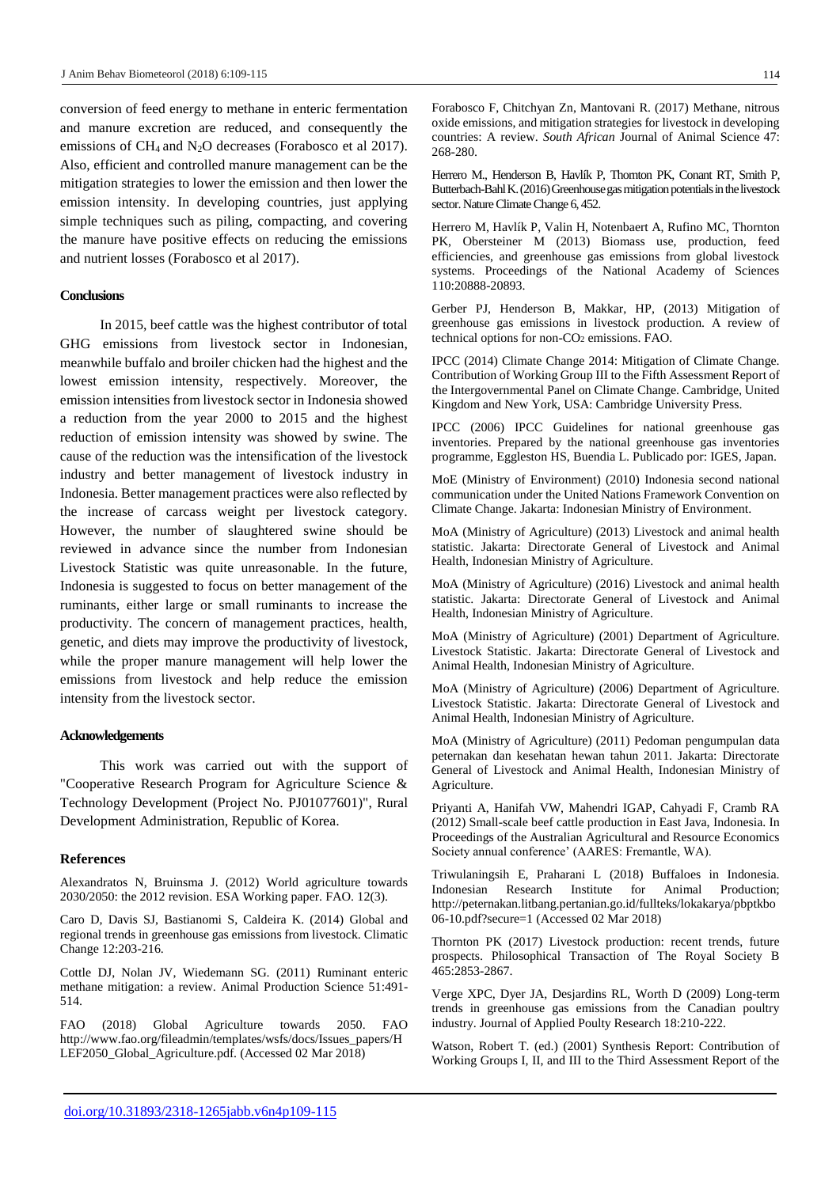conversion of feed energy to methane in enteric fermentation and manure excretion are reduced, and consequently the emissions of CH<sub>4</sub> and N<sub>2</sub>O decreases (Forabosco et al 2017). Also, efficient and controlled manure management can be the mitigation strategies to lower the emission and then lower the emission intensity. In developing countries, just applying simple techniques such as piling, compacting, and covering the manure have positive effects on reducing the emissions and nutrient losses (Forabosco et al 2017).

#### **Conclusions**

In 2015, beef cattle was the highest contributor of total GHG emissions from livestock sector in Indonesian, meanwhile buffalo and broiler chicken had the highest and the lowest emission intensity, respectively. Moreover, the emission intensities from livestock sector in Indonesia showed a reduction from the year 2000 to 2015 and the highest reduction of emission intensity was showed by swine. The cause of the reduction was the intensification of the livestock industry and better management of livestock industry in Indonesia. Better management practices were also reflected by the increase of carcass weight per livestock category. However, the number of slaughtered swine should be reviewed in advance since the number from Indonesian Livestock Statistic was quite unreasonable. In the future, Indonesia is suggested to focus on better management of the ruminants, either large or small ruminants to increase the productivity. The concern of management practices, health, genetic, and diets may improve the productivity of livestock, while the proper manure management will help lower the emissions from livestock and help reduce the emission intensity from the livestock sector.

#### **Acknowledgements**

This work was carried out with the support of "Cooperative Research Program for Agriculture Science & Technology Development (Project No. PJ01077601)", Rural Development Administration, Republic of Korea.

#### **References**

Alexandratos N, Bruinsma J. (2012) World agriculture towards 2030/2050: the 2012 revision. ESA Working paper. FAO. 12(3).

Caro D, Davis SJ, Bastianomi S, Caldeira K. (2014) Global and regional trends in greenhouse gas emissions from livestock. Climatic Change 12:203-216.

Cottle DJ, Nolan JV, Wiedemann SG. (2011) Ruminant enteric methane mitigation: a review. Animal Production Science 51:491- 514.

FAO (2018) Global Agriculture towards 2050. FAO http://www.fao.org/fileadmin/templates/wsfs/docs/Issues\_papers/H LEF2050\_Global\_Agriculture.pdf. (Accessed 02 Mar 2018)

Forabosco F, Chitchyan Zn, Mantovani R. (2017) Methane, nitrous oxide emissions, and mitigation strategies for livestock in developing countries: A review. *South African* Journal of Animal Science 47: 268-280.

Herrero M., Henderson B, Havlík P, Thornton PK, Conant RT, Smith P, Butterbach-Bahl K. (2016) Greenhouse gas mitigation potentials in the livestock sector. Nature Climate Change 6, 452.

Herrero M, Havlík P, Valin H, Notenbaert A, Rufino MC, Thornton PK, Obersteiner M (2013) Biomass use, production, feed efficiencies, and greenhouse gas emissions from global livestock systems. Proceedings of the National Academy of Sciences 110:20888-20893.

Gerber PJ, Henderson B, Makkar, HP, (2013) Mitigation of greenhouse gas emissions in livestock production. A review of technical options for non-CO<sub>2</sub> emissions. FAO.

IPCC (2014) Climate Change 2014: Mitigation of Climate Change. Contribution of Working Group III to the Fifth Assessment Report of the Intergovernmental Panel on Climate Change. Cambridge, United Kingdom and New York, USA: Cambridge University Press.

IPCC (2006) IPCC Guidelines for national greenhouse gas inventories. Prepared by the national greenhouse gas inventories programme, Eggleston HS, Buendia L. Publicado por: IGES, Japan.

MoE (Ministry of Environment) (2010) Indonesia second national communication under the United Nations Framework Convention on Climate Change. Jakarta: Indonesian Ministry of Environment.

MoA (Ministry of Agriculture) (2013) Livestock and animal health statistic. Jakarta: Directorate General of Livestock and Animal Health, Indonesian Ministry of Agriculture.

MoA (Ministry of Agriculture) (2016) Livestock and animal health statistic. Jakarta: Directorate General of Livestock and Animal Health, Indonesian Ministry of Agriculture.

MoA (Ministry of Agriculture) (2001) Department of Agriculture. Livestock Statistic. Jakarta: Directorate General of Livestock and Animal Health, Indonesian Ministry of Agriculture.

MoA (Ministry of Agriculture) (2006) Department of Agriculture. Livestock Statistic. Jakarta: Directorate General of Livestock and Animal Health, Indonesian Ministry of Agriculture.

MoA (Ministry of Agriculture) (2011) Pedoman pengumpulan data peternakan dan kesehatan hewan tahun 2011. Jakarta: Directorate General of Livestock and Animal Health, Indonesian Ministry of Agriculture.

Priyanti A, Hanifah VW, Mahendri IGAP, Cahyadi F, Cramb RA (2012) Small-scale beef cattle production in East Java, Indonesia. In Proceedings of the Australian Agricultural and Resource Economics Society annual conference' (AARES: Fremantle, WA).

Triwulaningsih E, Praharani L (2018) Buffaloes in Indonesia. Indonesian Research Institute for Animal Production; http://peternakan.litbang.pertanian.go.id/fullteks/lokakarya/pbptkbo 06-10.pdf?secure=1 (Accessed 02 Mar 2018)

Thornton PK (2017) Livestock production: recent trends, future prospects. Philosophical Transaction of The Royal Society B 465:2853-2867.

Verge XPC, Dyer JA, Desjardins RL, Worth D (2009) Long-term trends in greenhouse gas emissions from the Canadian poultry industry. Journal of Applied Poulty Research 18:210-222.

Watson, Robert T. (ed.) (2001) Synthesis Report: Contribution of Working Groups I, II, and III to the Third Assessment Report of the